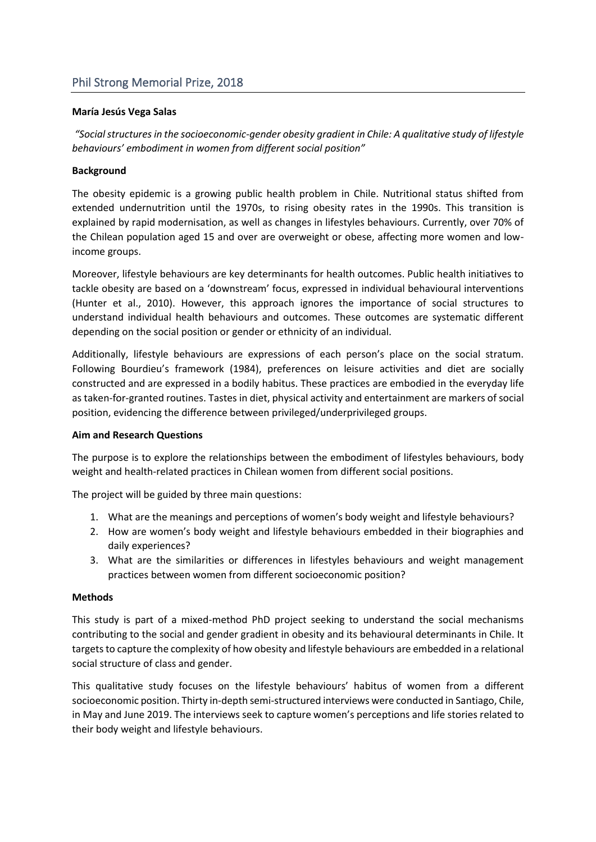# **María Jesús Vega Salas**

*"Social structures in the socioeconomic-gender obesity gradient in Chile: A qualitative study of lifestyle behaviours' embodiment in women from different social position"*

#### **Background**

The obesity epidemic is a growing public health problem in Chile. Nutritional status shifted from extended undernutrition until the 1970s, to rising obesity rates in the 1990s. This transition is explained by rapid modernisation, as well as changes in lifestyles behaviours. Currently, over 70% of the Chilean population aged 15 and over are overweight or obese, affecting more women and lowincome groups.

Moreover, lifestyle behaviours are key determinants for health outcomes. Public health initiatives to tackle obesity are based on a 'downstream' focus, expressed in individual behavioural interventions (Hunter et al., 2010). However, this approach ignores the importance of social structures to understand individual health behaviours and outcomes. These outcomes are systematic different depending on the social position or gender or ethnicity of an individual.

Additionally, lifestyle behaviours are expressions of each person's place on the social stratum. Following Bourdieu's framework (1984), preferences on leisure activities and diet are socially constructed and are expressed in a bodily habitus. These practices are embodied in the everyday life as taken-for-granted routines. Tastes in diet, physical activity and entertainment are markers of social position, evidencing the difference between privileged/underprivileged groups.

#### **Aim and Research Questions**

The purpose is to explore the relationships between the embodiment of lifestyles behaviours, body weight and health-related practices in Chilean women from different social positions.

The project will be guided by three main questions:

- 1. What are the meanings and perceptions of women's body weight and lifestyle behaviours?
- 2. How are women's body weight and lifestyle behaviours embedded in their biographies and daily experiences?
- 3. What are the similarities or differences in lifestyles behaviours and weight management practices between women from different socioeconomic position?

# **Methods**

This study is part of a mixed-method PhD project seeking to understand the social mechanisms contributing to the social and gender gradient in obesity and its behavioural determinants in Chile. It targets to capture the complexity of how obesity and lifestyle behaviours are embedded in a relational social structure of class and gender.

This qualitative study focuses on the lifestyle behaviours' habitus of women from a different socioeconomic position. Thirty in-depth semi-structured interviews were conducted in Santiago, Chile, in May and June 2019. The interviews seek to capture women's perceptions and life stories related to their body weight and lifestyle behaviours.